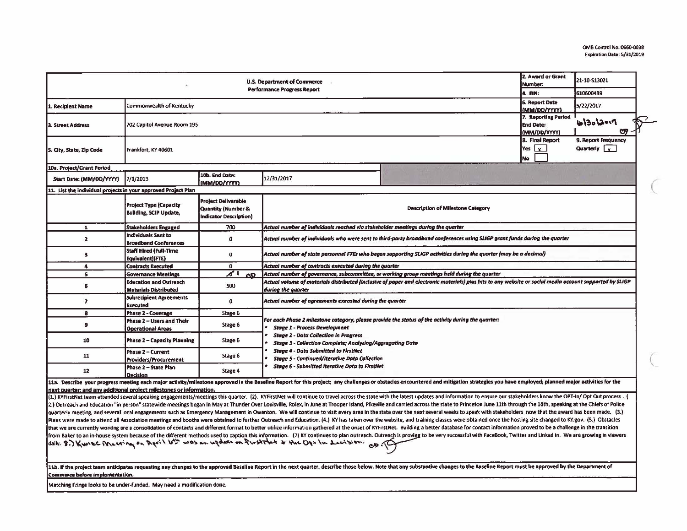| U.S. Department of Commerce<br><b>Performance Progress Report</b>   |                                                                |                                                                                   |                                                                                                                                                                                                                                                                             |                                                                                                                                                                                                                                                                                                                                                                                                                                                                  |                                       | 21-10-S13021                                     |  |  |  |
|---------------------------------------------------------------------|----------------------------------------------------------------|-----------------------------------------------------------------------------------|-----------------------------------------------------------------------------------------------------------------------------------------------------------------------------------------------------------------------------------------------------------------------------|------------------------------------------------------------------------------------------------------------------------------------------------------------------------------------------------------------------------------------------------------------------------------------------------------------------------------------------------------------------------------------------------------------------------------------------------------------------|---------------------------------------|--------------------------------------------------|--|--|--|
|                                                                     |                                                                |                                                                                   |                                                                                                                                                                                                                                                                             |                                                                                                                                                                                                                                                                                                                                                                                                                                                                  |                                       | 610600439                                        |  |  |  |
| L. Recipient Name                                                   | Commonwealth of Kentucky                                       |                                                                                   |                                                                                                                                                                                                                                                                             |                                                                                                                                                                                                                                                                                                                                                                                                                                                                  | <b>6. Report Date</b><br>(MM/DD/YYYY) | 5/22/2017                                        |  |  |  |
| 3. Street Address                                                   | 702 Capitol Avenue Room 195                                    |                                                                                   |                                                                                                                                                                                                                                                                             |                                                                                                                                                                                                                                                                                                                                                                                                                                                                  |                                       | 7. Reporting Period<br>6/30/2017<br><b>CR</b>    |  |  |  |
| 5. City, State, Zip Code                                            | Frankfort, KY 40601                                            |                                                                                   |                                                                                                                                                                                                                                                                             |                                                                                                                                                                                                                                                                                                                                                                                                                                                                  |                                       | 9. Report Frequency<br>Quarterly $\vert$ $\vert$ |  |  |  |
| 10a. Project/Grant Period                                           |                                                                |                                                                                   |                                                                                                                                                                                                                                                                             |                                                                                                                                                                                                                                                                                                                                                                                                                                                                  |                                       |                                                  |  |  |  |
| Start Date: (MM/0D/YYYY)                                            | 7/1/2013                                                       | 10b. End Date:<br>(MM/DD/YYYY)                                                    | 12/31/2017                                                                                                                                                                                                                                                                  |                                                                                                                                                                                                                                                                                                                                                                                                                                                                  |                                       |                                                  |  |  |  |
| 11. List the individual projects in your approved Project Plan      |                                                                |                                                                                   |                                                                                                                                                                                                                                                                             |                                                                                                                                                                                                                                                                                                                                                                                                                                                                  |                                       |                                                  |  |  |  |
|                                                                     | <b>Project Type (Capacity</b><br><b>Building, SCIP Update,</b> | <b>Project Deliverable</b><br>Quantity (Number &<br><b>Indicator Description)</b> | <b>Description of Milestone Category</b>                                                                                                                                                                                                                                    |                                                                                                                                                                                                                                                                                                                                                                                                                                                                  |                                       |                                                  |  |  |  |
| $\mathbf{1}$                                                        | <b>Stakeholders Engaged</b>                                    | 700                                                                               | Actual number of individuals reached via stakeholder meetings during the quarter                                                                                                                                                                                            |                                                                                                                                                                                                                                                                                                                                                                                                                                                                  |                                       |                                                  |  |  |  |
| $\overline{2}$                                                      | <b>Individuals Sent to</b><br><b>Broadband Conferences</b>     | $\mathbf{o}$                                                                      | Actual number of individuals who were sent to third-party broadband conferences using SLIGP grant funds during the quarter                                                                                                                                                  |                                                                                                                                                                                                                                                                                                                                                                                                                                                                  |                                       |                                                  |  |  |  |
| $\overline{\mathbf{3}}$                                             | <b>Staff Hired (Full-Time</b><br>Equivalent)(FTE)              | o                                                                                 | Actual number of state personnel FTEs who began supporting SLIGP activities during the quarter (may be a decimal)                                                                                                                                                           |                                                                                                                                                                                                                                                                                                                                                                                                                                                                  |                                       |                                                  |  |  |  |
| $\overline{4}$                                                      | <b>Contracts Executed</b>                                      | $\mathbf{0}$                                                                      | Actual number of contracts executed during the quarter                                                                                                                                                                                                                      |                                                                                                                                                                                                                                                                                                                                                                                                                                                                  |                                       |                                                  |  |  |  |
| s                                                                   | <b>Governance Meetings</b>                                     | $\delta$ (<br><b>OD</b>                                                           | Actual number of governance, subcommittee, or working group meetings held during the quarter                                                                                                                                                                                |                                                                                                                                                                                                                                                                                                                                                                                                                                                                  |                                       |                                                  |  |  |  |
| 6                                                                   | <b>Education and Outreach</b><br><b>Materials Distributed</b>  | 500                                                                               | Actual volume of materials distributed (inclusive of paper and electronic materials) plus hits to any website or social media account supported by SLIGP<br>during the quarter                                                                                              |                                                                                                                                                                                                                                                                                                                                                                                                                                                                  |                                       |                                                  |  |  |  |
| $\mathbf{r}$                                                        | <b>Subrecipient Agreements</b><br><b>Executed</b>              | $\Omega$                                                                          | Actual number of agreements executed during the quarter                                                                                                                                                                                                                     |                                                                                                                                                                                                                                                                                                                                                                                                                                                                  |                                       |                                                  |  |  |  |
| 8                                                                   | <b>Phase 2 - Coverage</b>                                      | Stage 6                                                                           | For each Phase 2 milestone category, please provide the status of the activity during the quarter:<br>$\bullet$<br><b>Stage 1 - Process Development</b><br><b>Stage 2 - Data Collection in Progress</b><br><b>Stage 3 - Collection Complete; Analyzing/Aggregating Data</b> |                                                                                                                                                                                                                                                                                                                                                                                                                                                                  |                                       |                                                  |  |  |  |
| $\bullet$                                                           | Phase 2 - Users and Their<br><b>Operational Areas</b>          | Stage 6                                                                           |                                                                                                                                                                                                                                                                             |                                                                                                                                                                                                                                                                                                                                                                                                                                                                  |                                       |                                                  |  |  |  |
| 10                                                                  | <b>Phase 2 - Capacity Planning</b>                             | Stage 6                                                                           |                                                                                                                                                                                                                                                                             |                                                                                                                                                                                                                                                                                                                                                                                                                                                                  |                                       |                                                  |  |  |  |
| 11                                                                  | Phase 2 - Current<br>Providers/Procurement                     | Stage 6                                                                           | <b>Stage 4 - Data Submitted to FirstNet</b><br>Stage 5 - Continued/Iterative Data Collection                                                                                                                                                                                |                                                                                                                                                                                                                                                                                                                                                                                                                                                                  |                                       |                                                  |  |  |  |
| 12                                                                  | Phase 2 - State Plan<br><b>Decision</b>                        | <b>Stage 6 - Submitted Iterative Data to FirstNet</b><br>Stage 4                  |                                                                                                                                                                                                                                                                             |                                                                                                                                                                                                                                                                                                                                                                                                                                                                  |                                       |                                                  |  |  |  |
|                                                                     |                                                                |                                                                                   |                                                                                                                                                                                                                                                                             | 11a. Describe your progress meeting each major activity/milestone approved in the Baseline Report for this project; any challenges or obstacles encountered and mitigation strategies you have employed; planned major activit                                                                                                                                                                                                                                   |                                       |                                                  |  |  |  |
| next quarter; and any additional project milestones or information. |                                                                |                                                                                   |                                                                                                                                                                                                                                                                             |                                                                                                                                                                                                                                                                                                                                                                                                                                                                  |                                       |                                                  |  |  |  |
|                                                                     |                                                                |                                                                                   |                                                                                                                                                                                                                                                                             | (1.) KYFirstNet team attended several speaking engagements/meetings this quarter. (2). KYFirstNet will continue to travel across the state with the latest updates and information to ensure our stakeholders know the OPT-In/                                                                                                                                                                                                                                   |                                       |                                                  |  |  |  |
|                                                                     |                                                                |                                                                                   |                                                                                                                                                                                                                                                                             | 2.) Outreach and Education "in person" statewide meetings began in May at Thunder Over Louisville, Rolex, in June at Trooper Island, Pikeville and carried across the state to Princeton June 11th through the 16th, speaking                                                                                                                                                                                                                                    |                                       |                                                  |  |  |  |
|                                                                     |                                                                |                                                                                   |                                                                                                                                                                                                                                                                             | quarterly meeting, and several local engagements such as Emergency Management in Owenton. We will continue to visit every area in the state over the next several weeks to speak with stakeholders now that the award has been                                                                                                                                                                                                                                   |                                       |                                                  |  |  |  |
|                                                                     |                                                                |                                                                                   |                                                                                                                                                                                                                                                                             | Plans were made to attend all Association meetings and booths were obtained to further Outreach and Education. (4.) KY has taken over the website, and training classes were obtained once the hosting site changed to KY.gov.<br>that we are currently working are a consolidation of contacts and different format to better utilize information gathered at the onset of KYFirstNet. Building a better database for contact information proved to be a challe |                                       |                                                  |  |  |  |
|                                                                     |                                                                |                                                                                   |                                                                                                                                                                                                                                                                             | from Baker to an in-house system because of the different methods used to caption this information. (7) KY continues to plan outreach. Outreach Surveing to be very successful with FaceBook, Twitter and Linked In. We are gr                                                                                                                                                                                                                                   |                                       |                                                  |  |  |  |
|                                                                     |                                                                |                                                                                   | daily. 8.) Kwiec Meeting on April 6th was an update on first that & the Ope In Lectision. op GC                                                                                                                                                                             |                                                                                                                                                                                                                                                                                                                                                                                                                                                                  |                                       |                                                  |  |  |  |
|                                                                     |                                                                |                                                                                   |                                                                                                                                                                                                                                                                             | 11b. If the project team anticipates requesting any changes to the approved Baseline Report in the next quarter, describe those below. Note that any substantive changes to the Baseline Report must be approved by the Depart                                                                                                                                                                                                                                   |                                       |                                                  |  |  |  |
|                                                                     |                                                                |                                                                                   |                                                                                                                                                                                                                                                                             |                                                                                                                                                                                                                                                                                                                                                                                                                                                                  |                                       |                                                  |  |  |  |

Commerce before implementation.

Matching Fringe looks to be under-funded. May need a modification done.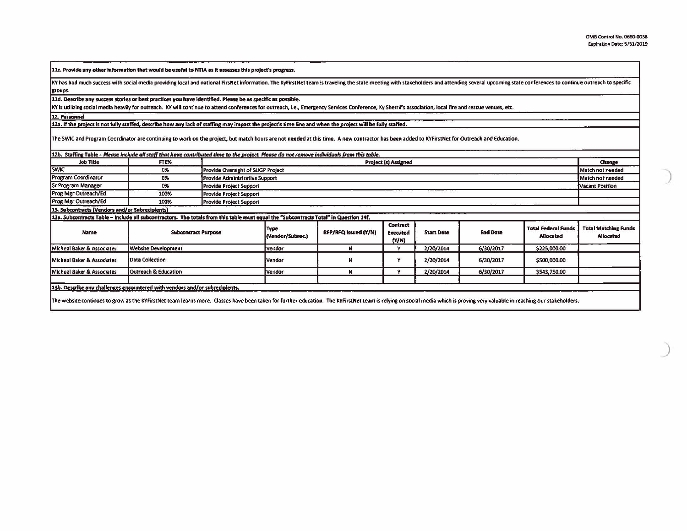11c. Provide any other information that would be useful to NTIA as it assesses this project's progress.

KY has had much success with social media providing local and national FirsNet information. The KyFirstNet team is traveling the state meeting with stakeholders and attending several upcoming state conferences to continue groups.

11d. Describe any success stories or best practices you have identified. Please be as specific as possible.

KY is utilizing social media heavily for outreach. KY will continue to attend conferences for outreach, i.e., Emergency Services Conference, Ky Sherrif's association, local fire and rescue venues, etc.

12. Personnel

12a. If the project is not fully staffed, describe how any lack of staffing may impact the project's time line and when the project will be fully staffed.

The SWIC and Program Coordinator are continuing to work on the project, but match hours are not needed at this time. A new contractor has been added to KYFirstNet for Outreach and Education.

|  |  |  | 12b. Staffing Table - Please include all staff that have contributed time to the project. Please do not remove individuals from this table. |  |
|--|--|--|---------------------------------------------------------------------------------------------------------------------------------------------|--|
|--|--|--|---------------------------------------------------------------------------------------------------------------------------------------------|--|

| <b>Job Title</b>                                                                                                                                                                                                             | FTE%                       |                                | <b>Project (s) Assigned</b>        |                      |                                             |                   |                 |                                         |                                          |
|------------------------------------------------------------------------------------------------------------------------------------------------------------------------------------------------------------------------------|----------------------------|--------------------------------|------------------------------------|----------------------|---------------------------------------------|-------------------|-----------------|-----------------------------------------|------------------------------------------|
| <b>SWIC</b>                                                                                                                                                                                                                  | 0%                         |                                | Provide Oversight of SLIGP Project |                      |                                             |                   |                 |                                         |                                          |
| <b>Program Coordinator</b>                                                                                                                                                                                                   | 0%                         |                                | Provide Administrative Support     |                      |                                             |                   |                 |                                         |                                          |
| <b>Sr Program Manager</b>                                                                                                                                                                                                    | 0%                         | <b>Provide Project Support</b> | Vacant Position                    |                      |                                             |                   |                 |                                         |                                          |
| Prog Mgr Outreach/Ed                                                                                                                                                                                                         | 100%                       | Provide Project Support        |                                    |                      |                                             |                   |                 |                                         |                                          |
| Prog Mgr Outreach/Ed                                                                                                                                                                                                         | 100%                       | Provide Project Support        |                                    |                      |                                             |                   |                 |                                         |                                          |
| 13. Subcontracts (Vendors and/or Subrecipients)                                                                                                                                                                              |                            |                                |                                    |                      |                                             |                   |                 |                                         |                                          |
| 13a. Subcontracts Table - include all subcontractors. The totals from this table must equal the "Subcontracts Total" in Question 14f.                                                                                        |                            |                                |                                    |                      |                                             |                   |                 |                                         |                                          |
| Name                                                                                                                                                                                                                         | <b>Subcontract Purpose</b> |                                | Type<br>(Vendor/Subrec.)           | RFP/RFQ Issued (Y/N) | <b>Contract</b><br><b>Executed</b><br>(Y/N) | <b>Start Date</b> | <b>End Date</b> | <b>Total Federal Funds</b><br>Allocated | <b>Total Matching Funds</b><br>Allocated |
| Micheal Baker & Associates                                                                                                                                                                                                   | <b>Website Development</b> |                                | Vendor                             |                      |                                             | 2/20/2014         | 6/30/2017       | \$225,000.00                            |                                          |
| <b>Micheal Baker &amp; Associates</b>                                                                                                                                                                                        | Data Collection            |                                | Vendor                             | N                    |                                             | 2/20/2014         | 6/30/2017       | \$500,000.00                            |                                          |
| Micheal Baker & Associates                                                                                                                                                                                                   | Outreach & Education       |                                | Vendor                             |                      |                                             | 2/20/2014         | 6/30/2017       | \$543,750.00                            |                                          |
| 13b. Describe any challenges encountered with vendors and/or subrecipients.                                                                                                                                                  |                            |                                |                                    |                      |                                             |                   |                 |                                         |                                          |
| The website continues to grow as the KYFirstNet team learns more. Classes have been taken for further education. The KYFirstNet team is relying on social media which is proving very valuable in reaching our stakeholders. |                            |                                |                                    |                      |                                             |                   |                 |                                         |                                          |